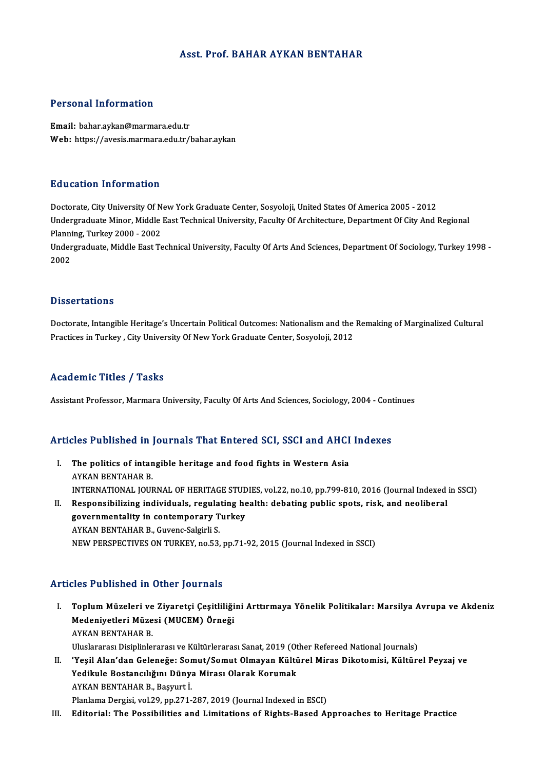### Asst. Prof. BAHAR AYKAN BENTAHAR

### Personal Information

Email: bahar.aykan@marmara.edu.tr Web: https://avesis.marmara.edu.tr/bahar.aykan

#### Education Information

Doctorate, City University Of New York Graduate Center, Sosyoloji, United States Of America 2005 - 2012 Undergraduate Minor, Middle East Technical University, Faculty Of Architecture, Department Of City And Regional Doctorate, City University Of N<br>Undergraduate Minor, Middle<br>Planning, Turkey 2000 - 2002<br>Undergraduate Middle Fest To

Undergraduate, Middle East Technical University, Faculty Of Arts And Sciences, Department Of Sociology, Turkey 1998 -<br>2002 Planni<br>Under<br>2002

#### **Dissertations**

Dissertations<br>Doctorate, Intangible Heritage's Uncertain Political Outcomes: Nationalism and the Remaking of Marginalized Cultural<br>Prastises in Turkey, City University Of New York Creducte Center, Sesyoleji, 2012 D'ISSOT CATIONS<br>Doctorate, Intangible Heritage's Uncertain Political Outcomes: Nationalism and the<br>Practices in Turkey , City University Of New York Graduate Center, Sosyoloji, 2012 Practices in Turkey , City University Of New York Graduate Center, Sosyoloji, 2012<br>Academic Titles / Tasks

Assistant Professor, Marmara University, Faculty Of Arts And Sciences, Sociology, 2004 - Continues

# Assistant Protessor, Marmara University, Pactity Of Arts And Sciences, Sociology, 2004 - Cont<br>Articles Published in Journals That Entered SCI, SSCI and AHCI Indexes

- rticles Published in Journals That Entered SCI, SSCI and AHCI<br>I. The politics of intangible heritage and food fights in Western Asia I. The politics of intangible heritage and food fights in Western Asia<br>AYKAN BENTAHAR B. The politics of intangible heritage and food fights in Western Asia<br>AYKAN BENTAHAR B.<br>INTERNATIONAL JOURNAL OF HERITAGE STUDIES, vol.22, no.10, pp.799-810, 2016 (Journal Indexed in SSCI)<br>Beaponsibilising individuals, nogul AYKAN BENTAHAR B.<br>INTERNATIONAL JOURNAL OF HERITAGE STUDIES, vol.22, no.10, pp.799-810, 2016 (Journal Indexed<br>II. Responsibilizing individuals, regulating health: debating public spots, risk, and neoliberal<br>Sovernmentality INTERNATIONAL JOURNAL OF HERITAGE STUD<br>Responsibilizing individuals, regulating he<br>governmentality in contemporary Turkey<br>AVKAN BENTAHAR B. Guyang Solsinii S
- Responsibilizing individuals, regula<br>governmentality in contemporary T<br>AYKAN BENTAHAR B., Guvenc-Salgirli S.<br>NEW PERSPECTIVES ON TURKEY no 52 governmentality in contemporary Turkey<br>AYKAN BENTAHAR B., Guvenc-Salgirli S.<br>NEW PERSPECTIVES ON TURKEY, no.53, pp.71-92, 2015 (Journal Indexed in SSCI)

### Articles Published in Other Journals

I. Ticles Published in Other Journals<br>I. Toplum Müzeleri ve Ziyaretçi Çeşitliliğini Arttırmaya Yönelik Politikalar: Marsilya Avrupa ve Akdeniz<br>Medeniyatleri Müzesi (MUCEM) Örneği Meden ubrishedeni ocher yedrindra<br>Toplum Müzeleri ve Ziyaretçi Çeşitliliği<br>Medeniyetleri Müzesi (MUCEM) Örneği Toplum Müzeleri ve<br>Medeniyetleri Müze<br>AYKAN BENTAHAR B.<br>Uluslararası Disiplinle Medeniyetleri Müzesi (MUCEM) Örneği<br>AYKAN BENTAHAR B.<br>Uluslararası Disiplinlerarası ve Kültürlerarası Sanat, 2019 (Other Refereed National Journals)<br>'Yesil Alen'dan Coloneğe: Semut (Semut Olmayan Kültürel Mines Diketemisi, AYKAN BENTAHAR B.<br>I . Uluslararası Disiplinlerarası ve Kültürlerarası Sanat, 2019 (Other Refereed National Journals)<br>II. 'Yeşil Alan'dan Geleneğe: Somut/Somut Olmayan Kültürel Miras Dikotomisi, Kültürel Peyzaj ve

Uluslararası Disiplinlerarası ve Kültürlerarası Sanat, 2019 (Ot<br>'Yeşil Alan'dan Geleneğe: Somut/Somut Olmayan Kültü<br>Yedikule Bostancılığını Dünya Mirası Olarak Korumak<br>AYKAN RENTAHAR B. Bosuutti Yedikule Bostancılığını Dünya Mirası Olarak Korumak<br>AYKAN BENTAHAR B., Başyurt İ.

Planlama Dergisi, vol.29, pp.271-287, 2019 (Journal Indexed in ESCI)

III. Editorial: The Possibilities and Limitations of Rights-Based Approaches to Heritage Practice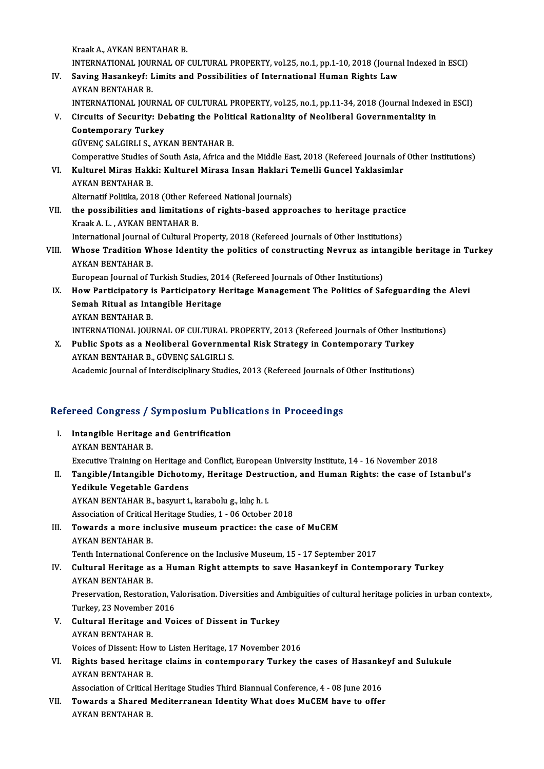Kraak A., AYKAN BENTAHAR B.

Kraak A., AYKAN BENTAHAR B.<br>INTERNATIONAL JOURNAL OF CULTURAL PROPERTY, vol.25, no.1, pp.1-10, 2018 (Journal Indexed in ESCI)<br>Seving Hasankeyf: Limite and Pessibilities of International Human Bights Law. Kraak A., AYKAN BENTAHAR B.<br>INTERNATIONAL JOURNAL OF CULTURAL PROPERTY, vol.25, no.1, pp.1-10, 2018 (Journa<br>IV. Saving Hasankeyf: Limits and Possibilities of International Human Rights Law

- INTERNATIONAL JOU<mark>I</mark><br>Saving Hasankeyf: L<br>AYKAN BENTAHAR B.<br>INTERNATIONAL JOUI Saving Hasankeyf: Limits and Possibilities of International Human Rights Law<br>AYKAN BENTAHAR B.<br>INTERNATIONAL JOURNAL OF CULTURAL PROPERTY, vol.25, no.1, pp.11-34, 2018 (Journal Indexed in ESCI)<br>Circuits of Security: Debati AYKAN BENTAHAR B.<br>INTERNATIONAL JOURNAL OF CULTURAL PROPERTY, vol.25, no.1, pp.11-34, 2018 (Journal Indexed<br>V. Circuits of Security: Debating the Political Rationality of Neoliberal Governmentality in<br>Contamporary Turkey
- **INTERNATIONAL JOURNA**<br>Circuits of Security: De<br>Contemporary Turkey<br>C<sup>inteMC SALCIBLIS AVE</sup> Circuits of Security: Debating the Politi<br>Contemporary Turkey<br>GÜVENÇ SALGIRLI S., AYKAN BENTAHAR B.<br>Comporative Studies of South Asia, Africa an Contemporary Turkey<br>GÜVENÇ SALGIRLI S., AYKAN BENTAHAR B.<br>Comperative Studies of South Asia, Africa and the Middle East, 2018 (Refereed Journals of Other Institutions)<br>Kulturel Mines Hakki: Kulturel Minese Insen Hakleri Te

- GÜVENÇ SALGIRLI S., AYKAN BENTAHAR B.<br>Comperative Studies of South Asia, Africa and the Middle East, 2018 (Refereed Journals of<br>VI. Kulturel Miras Hakki: Kulturel Mirasa Insan Haklari Temelli Guncel Yaklasimlar<br>AVKAN BENTA Comperative Studies o<br>Kulturel Miras Hakk<br>AYKAN BENTAHAR B.<br>Alternatif Bolitike 201 Kulturel Miras Hakki: Kulturel Mirasa Insan Haklari 1<br>AYKAN BENTAHAR B.<br>Alternatif Politika, 2018 (Other Refereed National Journals)<br>the nossibilities and limitations of rights based annus
- AYKAN BENTAHAR B.<br>Alternatif Politika, 2018 (Other Refereed National Journals)<br>VII. the possibilities and limitations of rights-based approaches to heritage practice<br>Knok A.L. AVKAN BENTAHAR B. Alternatif Politika, 2018 (Other Ref<br>the possibilities and limitation<br>Kraak A. L. , AYKAN BENTAHAR B.<br>International Journal of Gultural Pr the possibilities and limitations of rights-based approaches to heritage practice<br>Kraak A. L. , AYKAN BENTAHAR B.<br>International Journal of Cultural Property, 2018 (Refereed Journals of Other Institutions)<br>Whose Tradition W

# Kraak A. L. , AYKAN BENTAHAR B.<br>International Journal of Cultural Property, 2018 (Refereed Journals of Other Institutions)<br>VIII. Whose Tradition Whose Identity the politics of constructing Nevruz as intangible heritage International Journal<br>Whose Tradition W<br>AYKAN BENTAHAR B.<br>Euronean Journal of T Whose Tradition Whose Identity the politics of constructing Nevruz as inta<br>AYKAN BENTAHAR B.<br>European Journal of Turkish Studies, 2014 (Refereed Journals of Other Institutions)<br>How Pertisipateur is Pertisipateur Heritage M

- AYKAN BENTAHAR B.<br>IX. How Participatory is Participatory Heritage Management The Politics of Safeguarding the Alevi<br>IX. How Participatory is Participatory Heritage Management The Politics of Safeguarding the Alevi European Journal of Turkish Studies, 201<br>How Participatory is Participatory H<br>Semah Ritual as Intangible Heritage<br>AYKAN RENTAHAR P How Participatory i<br>Semah Ritual as Int:<br>AYKAN BENTAHAR B.<br>INTERNATIONAL IOUR Semah Ritual as Intangible Heritage<br>AYKAN BENTAHAR B.<br>INTERNATIONAL JOURNAL OF CULTURAL PROPERTY, 2013 (Refereed Journals of Other Institutions) AYKAN BENTAHAR B.<br>INTERNATIONAL JOURNAL OF CULTURAL PROPERTY, 2013 (Refereed Journals of Other Insti<br>X. Public Spots as a Neoliberal Governmental Risk Strategy in Contemporary Turkey<br>AVKAN BENTAHAR B. CÜVENC SALCIBLI S.
- INTERNATIONAL JOURNAL OF CULTURAL P<br>Public Spots as a Neoliberal Governme<br>AYKAN BENTAHAR B., GÜVENÇ SALGIRLI S.<br>Academis Journal of Interdisciplinary Studio Public Spots as a Neoliberal Governmental Risk Strategy in Contemporary Turkey<br>AYKAN BENTAHAR B., GÜVENÇ SALGIRLI S.<br>Academic Journal of Interdisciplinary Studies, 2013 (Refereed Journals of Other Institutions)

# Academic journal of interdisciplinary studies, 2013 (Refereed journals of<br>Refereed Congress / Symposium Publications in Proceedings

- efereed Congress / Symposium Publi<br>I. Intangible Heritage and Gentrification I. Intangible Heritage and Gentrification<br>AYKAN BENTAHAR B. Executive Training on Heritage and Conflict, European University Institute, 14 - 16 November 2018 AYKAN BENTAHAR B.<br>I . Executive Training on Heritage and Conflict, European University Institute, 14 - 16 November 2018<br>I . Tangible/Intangible Dichotomy, Heritage Destruction, and Human Rights: the case of Istanbul's<br>Yedi Executive Training on Heritage<br>Tangible/Intangible Dichoto<br>Yedikule Vegetable Gardens Yedikule Vegetable Gardens<br>AYKAN BENTAHAR B., basyurt i., karabolu g., kılıç h. i. Yedikule Vegetable Gardens<br>AYKAN BENTAHAR B., basyurt i., karabolu g., kılıç h. i.<br>Association of Critical Heritage Studies, 1 - 06 October 2018<br>Towards a mare inclusive museum prastiseuthe sase. III. Towards a more inclusive museum practice: the case of MuCEM<br>AYKAN BENTAHAR B. Association of Critical<br>**Towards a more inc<br>AYKAN BENTAHAR B.**<br>Tonth International Co Towards a more inclusive museum practice: the case of MuCEM<br>AYKAN BENTAHAR B.<br>Tenth International Conference on the Inclusive Museum, 15 - 17 September 2017<br>Cultural Heritage as a Human Bight attempts to save Hasankeyf in IV. Cultural Heritage as a Human Right attempts to save Hasankeyf in Contemporary Turkey Tenth International Continued Continued Ark<br>AYKAN BENTAHAR B.<br>Preservation Pesterat Cultural Heritage as a Human Right attempts to save Hasankeyf in Contemporary Turkey<br>AYKAN BENTAHAR B.<br>Preservation, Restoration, Valorisation. Diversities and Ambiguities of cultural heritage policies in urban context»,<br>T AYKAN BENTAHAR B.<br>Preservation, Restoration, V.<br>Turkey, 23 November 2016<br>Culturel Heritage and Vo. Preservation, Restoration, Valorisation. Diversities and A<br>Turkey, 23 November 2016<br>V. Cultural Heritage and Voices of Dissent in Turkey<br>AVKAN BENTAHAR P. Turkey, 23 November<br>Cultural Heritage ar<br>AYKAN BENTAHAR B.<br>Voises of Dissent: Hou
	- AYKAN BENTAHAR B.<br>Voices of Dissent: How to Listen Heritage, 17 November 2016
- AYKAN BENTAHAR B.<br>Voices of Dissent: How to Listen Heritage, 17 November 2016<br>VI. Rights based heritage claims in contemporary Turkey the cases of Hasankeyf and Sulukule<br>AVKAN BENTAHAR B Voices of Dissent: How<br>Rights based herita<br>AYKAN BENTAHAR B.<br>Association of Critical Rights based heritage claims in contemporary Turkey the cases of Hasanke<br>AYKAN BENTAHAR B.<br>Association of Critical Heritage Studies Third Biannual Conference, 4 - 08 June 2016<br>Towards a Shaned Mediterranean Identity What d

AYKAN BENTAHAR B.<br>Association of Critical Heritage Studies Third Biannual Conference, 4 - 08 June 2016<br>VII. Towards a Shared Mediterranean Identity What does MuCEM have to offer<br>AYKAN BENTAHAR B. Association of Critical<br><mark>Towards a Shared I</mark><br>AYKAN BENTAHAR B.